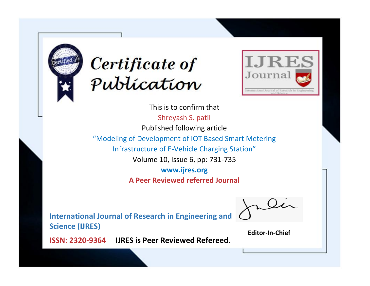



This is to confirm that Shreyash S. patil Published following article "Modeling of Development of IOT Based Smart Metering Infrastructure of E-Vehicle Charging Station" Volume 10, Issue 6, pp: 731-735 **www.ijres.org A Peer Reviewed referred Journal**

**International Journal of Research in Engineering and Science (IJRES)**

\_\_\_\_\_\_\_\_\_\_\_\_\_\_\_\_\_\_\_\_\_\_\_\_ **Editor-In-Chief**

**Journal.**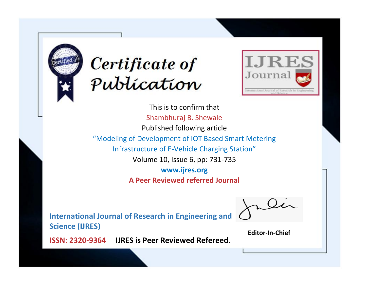



This is to confirm that Shambhuraj B. Shewale Published following article "Modeling of Development of IOT Based Smart Metering Infrastructure of E-Vehicle Charging Station" Volume 10, Issue 6, pp: 731-735 **www.ijres.org A Peer Reviewed referred Journal**

**International Journal of Research in Engineering and Science (IJRES)**

\_\_\_\_\_\_\_\_\_\_\_\_\_\_\_\_\_\_\_\_\_\_\_\_ **Editor-In-Chief**

**Journal.**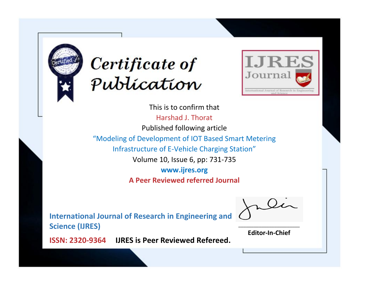



This is to confirm that Harshad J. Thorat Published following article "Modeling of Development of IOT Based Smart Metering Infrastructure of E-Vehicle Charging Station" Volume 10, Issue 6, pp: 731-735 **www.ijres.org A Peer Reviewed referred Journal**

**International Journal of Research in Engineering and Science (IJRES)**

\_\_\_\_\_\_\_\_\_\_\_\_\_\_\_\_\_\_\_\_\_\_\_\_ **Editor-In-Chief**

**Journal.**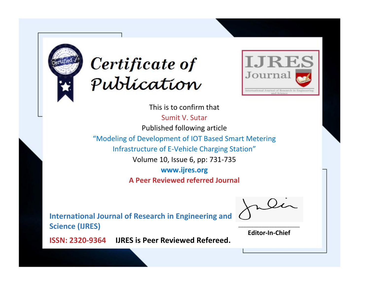



This is to confirm that

Sumit V. Sutar Published following article "Modeling of Development of IOT Based Smart Metering Infrastructure of E-Vehicle Charging Station" Volume 10, Issue 6, pp: 731-735 **www.ijres.org**

**A Peer Reviewed referred Journal**

**International Journal of Research in Engineering and Science (IJRES)**

\_\_\_\_\_\_\_\_\_\_\_\_\_\_\_\_\_\_\_\_\_\_\_\_ **Editor-In-Chief**

**Journal.**